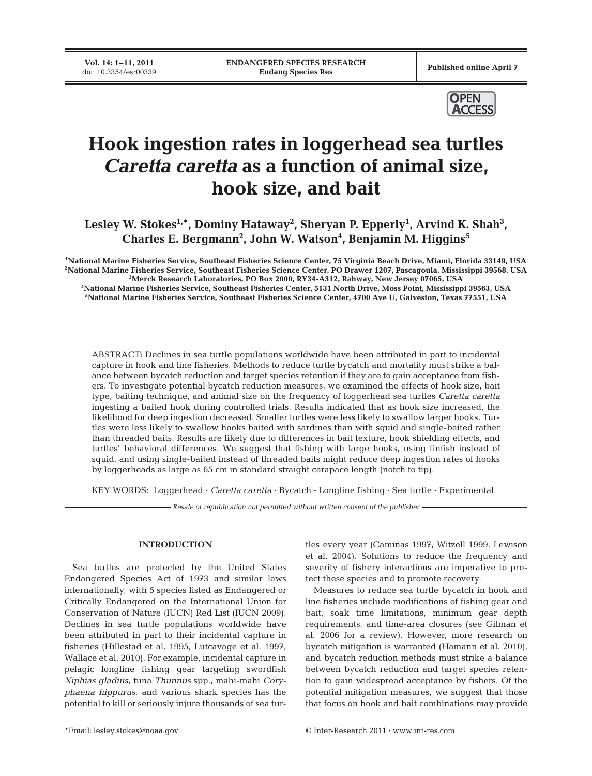**Vol. 14: 1-11, 2011**<br>doi: 10.3354/esr00339



# **Hook ingestion rates in loggerhead sea turtles** *Caretta caretta* **as a function of animal size, hook size, and bait**

Lesley W. Stokes<sup>1,\*</sup>, Dominy Hataway<sup>2</sup>, Sheryan P. Epperly<sup>1</sup>, Arvind K. Shah<sup>3</sup>, **Charles E. Bergmann2 , John W. Watson4 , Benjamin M. Higgins5**

 **National Marine Fisheries Service, Southeast Fisheries Science Center, 75 Virginia Beach Drive, Miami, Florida 33149, USA National Marine Fisheries Service, Southeast Fisheries Science Center, PO Drawer 1207, Pascagoula, Mississippi 39568, USA Merck Research Laboratories, PO Box 2000, RY34-A312, Rahway, New Jersey 07065, USA National Marine Fisheries Service, Southeast Fisheries Center, 5131 North Drive, Moss Point, Mississippi 39563, USA National Marine Fisheries Service, Southeast Fisheries Science Center, 4700 Ave U, Galveston, Texas 77551, USA**

ABSTRACT: Declines in sea turtle populations worldwide have been attributed in part to incidental capture in hook and line fisheries. Methods to reduce turtle bycatch and mortality must strike a balance between bycatch reduction and target species retention if they are to gain acceptance from fishers. To investigate potential bycatch reduction measures, we examined the effects of hook size, bait type, baiting technique, and animal size on the frequency of loggerhead sea turtles *Caretta caretta* ingesting a baited hook during controlled trials. Results indicated that as hook size increased, the likelihood for deep ingestion decreased. Smaller turtles were less likely to swallow larger hooks. Turtles were less likely to swallow hooks baited with sardines than with squid and single-baited rather than threaded baits. Results are likely due to differences in bait texture, hook shielding effects, and turtles' behavioral differences. We suggest that fishing with large hooks, using finfish instead of squid, and using single-baited instead of threaded baits might reduce deep ingestion rates of hooks by loggerheads as large as 65 cm in standard straight carapace length (notch to tip).

KEY WORDS: Loggerhead **·** *Caretta caretta* **·** Bycatch **·** Longline fishing **·** Sea turtle **·** Experimental

*Resale or republication not permitted without written consent of the publisher*

# **INTRODUCTION**

Sea turtles are protected by the United States Endangered Species Act of 1973 and similar laws internationally, with 5 species listed as Endangered or Critically Endangered on the International Union for Conservation of Nature (IUCN) Red List (IUCN 2009). Declines in sea turtle populations worldwide have been attributed in part to their incidental capture in fisheries (Hillestad et al. 1995, Lutcavage et al. 1997, Wallace et al. 2010). For example, incidental capture in pelagic longline fishing gear targeting swordfish *Xiphias gladius*, tuna *Thunnus* spp., mahi-mahi *Cory phaena hippurus*, and various shark species has the potential to kill or seriously injure thousands of sea turtles every year (Camiñas 1997, Witzell 1999, Lewison et al. 2004). Solutions to reduce the frequency and severity of fishery interactions are imperative to protect these species and to promote recovery.

Measures to reduce sea turtle bycatch in hook and line fisheries include modifications of fishing gear and bait, soak time limitations, minimum gear depth requirements, and time-area closures (see Gilman et al. 2006 for a review). However, more research on bycatch mitigation is warranted (Hamann et al. 2010), and bycatch reduction methods must strike a balance between bycatch reduction and target species retention to gain widespread acceptance by fishers. Of the potential mitigation measures, we suggest that those that focus on hook and bait combinations may provide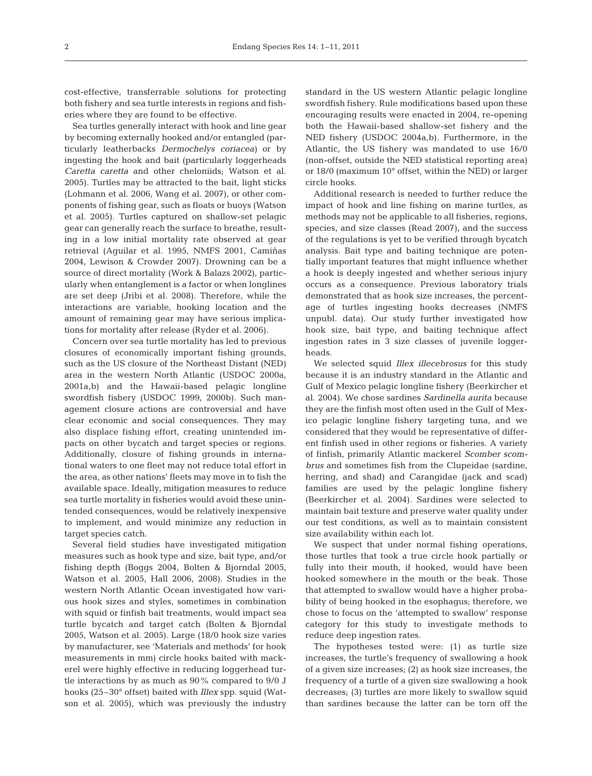cost-effective, transferrable solutions for protecting both fishery and sea turtle interests in regions and fisheries where they are found to be effective.

Sea turtles generally interact with hook and line gear by becoming externally hooked and/or entangled (particularly leatherbacks *Dermochelys coriacea)* or by ingesting the hook and bait (particularly loggerheads *Caretta caretta* and other cheloniids; Watson et al. 2005). Turtles may be attracted to the bait, light sticks (Lohmann et al. 2006, Wang et al. 2007), or other components of fishing gear, such as floats or buoys (Watson et al. 2005). Turtles captured on shallow-set pelagic gear can generally reach the surface to breathe, resulting in a low initial mortality rate observed at gear retrieval (Aguilar et al. 1995, NMFS 2001, Camiñas 2004, Lewison & Crowder 2007). Drowning can be a source of direct mortality (Work & Balazs 2002), particularly when entanglement is a factor or when longlines are set deep (Jribi et al. 2008). Therefore, while the interactions are variable, hooking location and the amount of remaining gear may have serious implications for mortality after release (Ryder et al. 2006).

Concern over sea turtle mortality has led to previous closures of economically important fishing grounds, such as the US closure of the Northeast Distant (NED) area in the western North Atlantic (USDOC 2000a, 2001a,b) and the Hawaii-based pelagic longline swordfish fishery (USDOC 1999, 2000b). Such management closure actions are controversial and have clear economic and social consequences. They may also displace fishing effort, creating unintended impacts on other bycatch and target species or regions. Additionally, closure of fishing grounds in international waters to one fleet may not reduce total effort in the area, as other nations' fleets may move in to fish the available space. Ideally, mitigation measures to reduce sea turtle mortality in fisheries would avoid these unintended consequences, would be relatively inexpensive to implement, and would minimize any reduction in target species catch.

Several field studies have investigated mitigation measures such as hook type and size, bait type, and/or fishing depth (Boggs 2004, Bolten & Bjorndal 2005, Watson et al. 2005, Hall 2006, 2008). Studies in the western North Atlantic Ocean investigated how various hook sizes and styles, sometimes in combination with squid or finfish bait treatments, would impact sea turtle bycatch and target catch (Bolten & Bjorndal 2005, Watson et al. 2005). Large (18/0 hook size varies by manufacturer, see 'Materials and methods' for hook measurements in mm) circle hooks baited with mackerel were highly effective in reducing loggerhead turtle interactions by as much as 90% compared to 9/0 J hooks (25–30° offset) baited with *Illex* spp. squid (Watson et al. 2005), which was previously the industry standard in the US western Atlantic pelagic longline swordfish fishery. Rule modifications based upon these encouraging results were enacted in 2004, re-opening both the Hawaii-based shallow-set fishery and the NED fishery (USDOC 2004a,b). Furthermore, in the Atlantic, the US fishery was mandated to use 16/0 (non-offset, outside the NED statistical reporting area) or 18/0 (maximum 10° offset, within the NED) or larger circle hooks.

Additional research is needed to further reduce the impact of hook and line fishing on marine turtles, as methods may not be applicable to all fisheries, regions, species, and size classes (Read 2007), and the success of the regulations is yet to be verified through bycatch analysis. Bait type and baiting technique are potentially important features that might influence whether a hook is deeply ingested and whether serious injury occurs as a consequence. Previous laboratory trials demonstrated that as hook size increases, the percentage of turtles ingesting hooks decreases (NMFS unpubl. data). Our study further investigated how hook size, bait type, and baiting technique affect ingestion rates in 3 size classes of juvenile loggerheads.

We selected squid *Illex illecebrosus* for this study because it is an industry standard in the Atlantic and Gulf of Mexico pelagic longline fishery (Beerkircher et al. 2004). We chose sardines *Sardinella aurita* because they are the finfish most often used in the Gulf of Mexico pelagic longline fishery targeting tuna, and we considered that they would be representative of different finfish used in other regions or fisheries. A variety of finfish, primarily Atlantic mackerel *Scomber scombrus* and sometimes fish from the Clupeidae (sardine, herring, and shad) and Carangidae (jack and scad) families are used by the pelagic longline fishery (Beerkircher et al. 2004). Sardines were selected to maintain bait texture and preserve water quality under our test conditions, as well as to maintain consistent size availability within each lot.

We suspect that under normal fishing operations, those turtles that took a true circle hook partially or fully into their mouth, if hooked, would have been hooked somewhere in the mouth or the beak. Those that attempted to swallow would have a higher probability of being hooked in the esophagus; therefore, we chose to focus on the 'attempted to swallow' response category for this study to investigate methods to reduce deep ingestion rates.

The hypotheses tested were: (1) as turtle size increases, the turtle's frequency of swallowing a hook of a given size increases; (2) as hook size increases, the frequency of a turtle of a given size swallowing a hook decreases; (3) turtles are more likely to swallow squid than sardines because the latter can be torn off the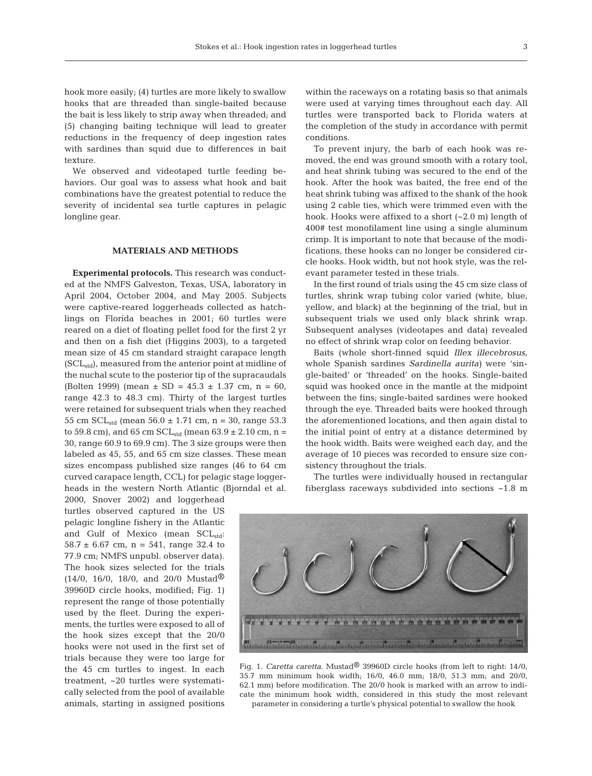hook more easily; (4) turtles are more likely to swallow hooks that are threaded than single-baited because the bait is less likely to strip away when threaded; and (5) changing baiting technique will lead to greater reductions in the frequency of deep ingestion rates with sardines than squid due to differences in bait texture.

We observed and videotaped turtle feeding behaviors. Our goal was to assess what hook and bait combinations have the greatest potential to reduce the severity of incidental sea turtle captures in pelagic longline gear.

## **MATERIALS AND METHODS**

Experimental protocols. This research was conducted at the NMFS Galveston, Texas, USA, laboratory in April 2004, October 2004, and May 2005. Subjects were captive-reared loggerheads collected as hatchlings on Florida beaches in 2001; 60 turtles were reared on a diet of floating pellet food for the first 2 yr and then on a fish diet (Higgins 2003), to a targeted mean size of 45 cm standard straight carapace length  $(SCL<sub>std</sub>)$ , measured from the anterior point at midline of the nuchal scute to the posterior tip of the supracaudals (Bolten 1999) (mean  $\pm$  SD = 45.3  $\pm$  1.37 cm, n = 60, range 42.3 to 48.3 cm). Thirty of the largest turtles were retained for subsequent trials when they reached 55 cm  $SCL_{std}$  (mean 56.0  $\pm$  1.71 cm, n = 30, range 53.3 to 59.8 cm), and 65 cm  $SCL_{std}$  (mean 63.9  $\pm$  2.10 cm, n = 30, range 60.9 to 69.9 cm). The 3 size groups were then labeled as 45, 55, and 65 cm size classes. These mean sizes encompass published size ranges (46 to 64 cm curved carapace length, CCL) for pelagic stage loggerheads in the western North Atlantic (Bjorndal et al.

2000, Snover 2002) and loggerhead turtles observed captured in the US pelagic longline fishery in the Atlantic and Gulf of Mexico (mean SCL<sub>std</sub>: 58.7  $\pm$  6.67 cm, n = 541, range 32.4 to 77.9 cm; NMFS unpubl. observer data). The hook sizes selected for the trials  $(14/0, 16/0, 18/0, \text{ and } 20/0 \text{ Mustad} \circledR)$ 39960D circle hooks, modified; Fig. 1) represent the range of those potentially used by the fleet. During the experiments, the turtles were exposed to all of the hook sizes except that the 20/0 hooks were not used in the first set of trials because they were too large for the 45 cm turtles to ingest. In each treatment, ~20 turtles were systematically selected from the pool of available animals, starting in assigned positions within the raceways on a rotating basis so that animals were used at varying times throughout each day. All turtles were transported back to Florida waters at the completion of the study in accordance with permit conditions.

To prevent injury, the barb of each hook was removed, the end was ground smooth with a rotary tool, and heat shrink tubing was secured to the end of the hook. After the hook was baited, the free end of the heat shrink tubing was affixed to the shank of the hook using 2 cable ties, which were trimmed even with the hook. Hooks were affixed to a short (~2.0 m) length of 400# test monofilament line using a single aluminum crimp. It is important to note that because of the modifications, these hooks can no longer be considered circle hooks. Hook width, but not hook style, was the relevant parameter tested in these trials.

In the first round of trials using the 45 cm size class of turtles, shrink wrap tubing color varied (white, blue, yellow, and black) at the beginning of the trial, but in subsequent trials we used only black shrink wrap. Subsequent analyses (videotapes and data) revealed no effect of shrink wrap color on feeding behavior.

Baits (whole short-finned squid *Illex illecebrosus*, whole Spanish sardines *Sardinella aurita)* were 'single-baited' or 'threaded' on the hooks. Single-baited squid was hooked once in the mantle at the midpoint between the fins; single-baited sardines were hooked through the eye. Threaded baits were hooked through the aforementioned locations, and then again distal to the initial point of entry at a distance determined by the hook width. Baits were weighed each day, and the average of 10 pieces was recorded to ensure size consistency throughout the trials.

The turtles were individually housed in rectangular fiberglass raceways subdivided into sections ~1.8 m



Fig. 1. *Caretta caretta*. Mustad® 39960D circle hooks (from left to right: 14/0, 35.7 mm minimum hook width; 16/0, 46.0 mm; 18/0, 51.3 mm; and 20/0, 62.1 mm) before modification. The 20/0 hook is marked with an arrow to indicate the minimum hook width, considered in this study the most relevant parameter in considering a turtle's physical potential to swallow the hook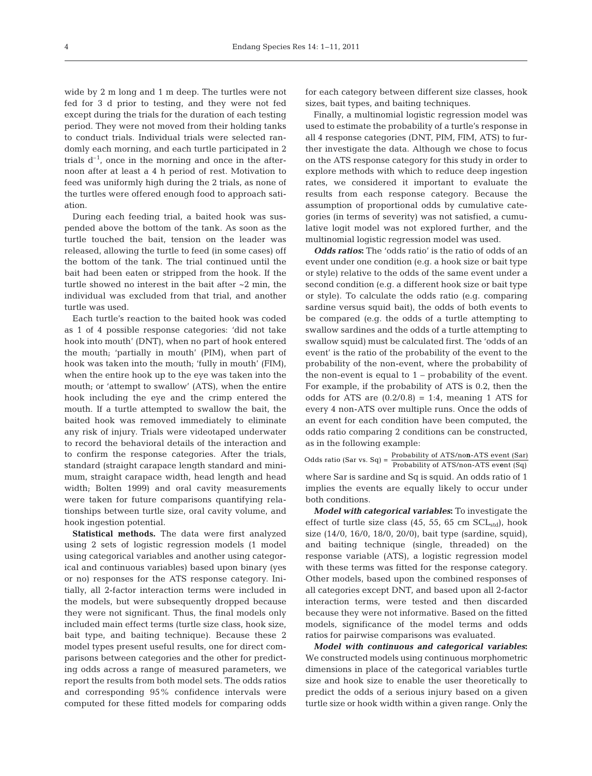wide by 2 m long and 1 m deep. The turtles were not fed for 3 d prior to testing, and they were not fed except during the trials for the duration of each testing period. They were not moved from their holding tanks to conduct trials. Individual trials were selected randomly each morning, and each turtle participated in 2 trials  $d^{-1}$ , once in the morning and once in the afternoon after at least a 4 h period of rest. Motivation to feed was uniformly high during the 2 trials, as none of the turtles were offered enough food to approach satiation.

During each feeding trial, a baited hook was suspended above the bottom of the tank. As soon as the turtle touched the bait, tension on the leader was released, allowing the turtle to feed (in some cases) off the bottom of the tank. The trial continued until the bait had been eaten or stripped from the hook. If the turtle showed no interest in the bait after ~2 min, the individual was excluded from that trial, and another turtle was used.

Each turtle's reaction to the baited hook was coded as 1 of 4 possible response categories: 'did not take hook into mouth' (DNT), when no part of hook entered the mouth; 'partially in mouth' (PIM), when part of hook was taken into the mouth; 'fully in mouth' (FIM), when the entire hook up to the eye was taken into the mouth; or 'attempt to swallow' (ATS), when the entire hook including the eye and the crimp entered the mouth. If a turtle attempted to swallow the bait, the baited hook was removed immediately to eliminate any risk of injury. Trials were videotaped underwater to record the behavioral details of the interaction and to confirm the response categories. After the trials, standard (straight carapace length standard and minimum, straight carapace width, head length and head width; Bolten 1999) and oral cavity measurements were taken for future comparisons quantifying relationships between turtle size, oral cavity volume, and hook ingestion potential.

**Statistical methods.** The data were first analyzed using 2 sets of logistic regression models (1 model using categorical variables and another using categorical and continuous variables) based upon binary (yes or no) responses for the ATS response category. Initially, all 2-factor interaction terms were included in the models, but were subsequently dropped because they were not significant. Thus, the final models only included main effect terms (turtle size class, hook size, bait type, and baiting technique). Because these 2 model types present useful results, one for direct comparisons between categories and the other for predicting odds across a range of measured parameters, we report the results from both model sets. The odds ratios and corresponding 95% confidence intervals were computed for these fitted models for comparing odds

for each category between different size classes, hook sizes, bait types, and baiting techniques.

Finally, a multinomial logistic regression model was used to estimate the probability of a turtle's response in all 4 response categories (DNT, PIM, FIM, ATS) to further investigate the data. Although we chose to focus on the ATS response category for this study in order to explore methods with which to reduce deep ingestion rates, we considered it important to evaluate the results from each response category. Because the assumption of proportional odds by cumulative categories (in terms of severity) was not satisfied, a cumulative logit model was not explored further, and the multinomial logistic regression model was used.

*Odds ratios***:** The 'odds ratio' is the ratio of odds of an event under one condition (e.g. a hook size or bait type or style) relative to the odds of the same event under a second condition (e.g. a different hook size or bait type or style). To calculate the odds ratio (e.g. comparing sardine versus squid bait), the odds of both events to be compared (e.g. the odds of a turtle attempting to swallow sardines and the odds of a turtle attempting to swallow squid) must be calculated first. The 'odds of an event' is the ratio of the probability of the event to the probability of the non-event, where the probability of the non-event is equal to  $1$  – probability of the event. For example, if the probability of ATS is 0.2, then the odds for ATS are  $(0.2/0.8) = 1:4$ , meaning 1 ATS for every 4 non-ATS over multiple runs. Once the odds of an event for each condition have been computed, the odds ratio comparing 2 conditions can be constructed, as in the following example:

where Sar is sardine and Sq is squid. An odds ratio of 1 implies the events are equally likely to occur under both conditions. Odds ratio (Sar vs. Sq) =  $\frac{\text{Probability of ATS}/\text{non-ATS event (Sar)}}{\text{Probability of ATS}/\text{non-ATS event (Sq)}}$ 

*Model with categorical variables***:** To investigate the effect of turtle size class  $(45, 55, 65 \text{ cm } SCL_{std})$ , hook size (14/0, 16/0, 18/0, 20/0), bait type (sardine, squid), and baiting technique (single, threaded) on the response variable (ATS), a logistic regression model with these terms was fitted for the response category. Other models, based upon the combined responses of all categories except DNT, and based upon all 2-factor interaction terms, were tested and then discarded because they were not informative. Based on the fitted models, significance of the model terms and odds ratios for pairwise comparisons was evaluated.

*Model with continuous and categorical variables***:** We constructed models using continuous morphometric dimensions in place of the categorical variables turtle size and hook size to enable the user theoretically to predict the odds of a serious injury based on a given turtle size or hook width within a given range. Only the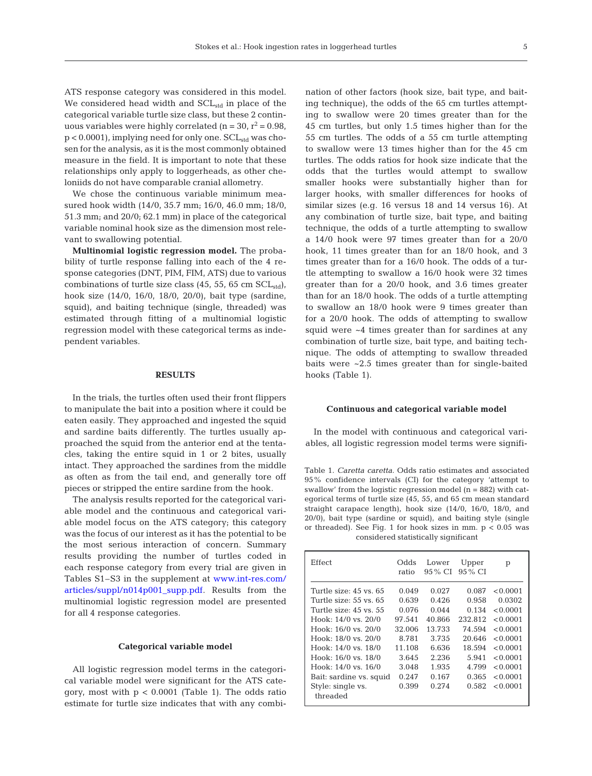ATS response category was considered in this model. We considered head width and  $SCL<sub>std</sub>$  in place of the categorical variable turtle size class, but these 2 continuous variables were highly correlated (n = 30,  $r^2$  = 0.98,  $p < 0.0001$ , implying need for only one.  $SCL<sub>std</sub>$  was chosen for the analysis, as it is the most commonly obtained measure in the field. It is important to note that these relationships only apply to loggerheads, as other cheloniids do not have comparable cranial allometry.

We chose the continuous variable minimum measured hook width (14/0, 35.7 mm; 16/0, 46.0 mm; 18/0, 51.3 mm; and 20/0; 62.1 mm) in place of the categorical variable nominal hook size as the dimension most relevant to swallowing potential.

**Multinomial logistic regression model.** The probability of turtle response falling into each of the 4 response categories (DNT, PIM, FIM, ATS) due to various combinations of turtle size class  $(45, 55, 65 \text{ cm } \text{SCL}_{std})$ , hook size (14/0, 16/0, 18/0, 20/0), bait type (sardine, squid), and baiting technique (single, threaded) was estimated through fitting of a multinomial logistic regression model with these categorical terms as independent variables.

## **RESULTS**

In the trials, the turtles often used their front flippers to manipulate the bait into a position where it could be eaten easily. They approached and ingested the squid and sardine baits differently. The turtles usually approached the squid from the anterior end at the tentacles, taking the entire squid in 1 or 2 bites, usually intact. They approached the sardines from the middle as often as from the tail end, and generally tore off pieces or stripped the entire sardine from the hook.

The analysis results reported for the categorical variable model and the continuous and categorical variable model focus on the ATS category; this category was the focus of our interest as it has the potential to be the most serious interaction of concern. Summary results providing the number of turtles coded in each response category from every trial are given in Tables S1–S3 in the supplement a[t www.int-res.com/](http://www.int-res.com/articles/suppl/n014p001_supp.pdf) [articles/suppl/n014p001\\_supp.pdf.](http://www.int-res.com/articles/suppl/n014p001_supp.pdf) Results from the multinomial logistic regression model are presented for all 4 response categories.

### **Categorical variable model**

All logistic regression model terms in the categorical variable model were significant for the ATS category, most with  $p < 0.0001$  (Table 1). The odds ratio estimate for turtle size indicates that with any combination of other factors (hook size, bait type, and baiting technique), the odds of the 65 cm turtles attempting to swallow were 20 times greater than for the 45 cm turtles, but only 1.5 times higher than for the 55 cm turtles. The odds of a 55 cm turtle attempting to swallow were 13 times higher than for the 45 cm turtles. The odds ratios for hook size indicate that the odds that the turtles would attempt to swallow smaller hooks were substantially higher than for larger hooks, with smaller differences for hooks of similar sizes (e.g. 16 versus 18 and 14 versus 16). At any combination of turtle size, bait type, and baiting technique, the odds of a turtle attempting to swallow a 14/0 hook were 97 times greater than for a 20/0 hook, 11 times greater than for an 18/0 hook, and 3 times greater than for a 16/0 hook. The odds of a turtle attempting to swallow a 16/0 hook were 32 times greater than for a 20/0 hook, and 3.6 times greater than for an 18/0 hook. The odds of a turtle attempting to swallow an 18/0 hook were 9 times greater than for a 20/0 hook. The odds of attempting to swallow squid were ~4 times greater than for sardines at any combination of turtle size, bait type, and baiting technique. The odds of attempting to swallow threaded baits were ~2.5 times greater than for single-baited hooks (Table 1).

#### **Continuous and categorical variable model**

In the model with continuous and categorical variables, all logistic regression model terms were signifi-

Table 1. *Caretta caretta.* Odds ratio estimates and associated 95% confidence intervals (CI) for the category 'attempt to swallow' from the logistic regression model  $(n = 882)$  with categorical terms of turtle size (45, 55, and 65 cm mean standard straight carapace length), hook size (14/0, 16/0, 18/0, and 20/0), bait type (sardine or squid), and baiting style (single or threaded). See Fig. 1 for hook sizes in mm.  $p < 0.05$  was considered statistically significant

| Odds<br>ratio | Lower<br>95 % CI | Upper<br>95 % CI | р        |
|---------------|------------------|------------------|----------|
| 0.049         | 0.027            | 0.087            | < 0.0001 |
| 0.639         | 0.426            | 0.958            | 0.0302   |
| 0.076         | 0.044            | 0.134            | < 0.0001 |
| 97.541        | 40.866           | 232.812          | < 0.0001 |
| 32.006        | 13.733           | 74.594           | < 0.0001 |
| 8.781         | 3.735            | 20.646           | < 0.0001 |
| 11.108        | 6.636            | 18.594           | < 0.0001 |
| 3.645         | 2.236            | 5.941            | < 0.0001 |
| 3.048         | 1.935            | 4.799            | < 0.0001 |
| 0.247         | 0.167            | 0.365            | < 0.0001 |
| 0.399         | 0.274            | 0.582            | < 0.0001 |
|               |                  |                  |          |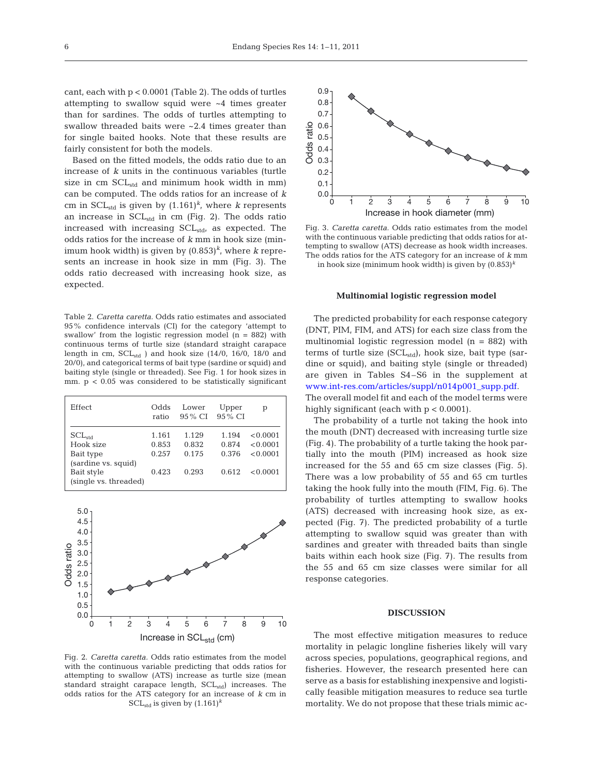cant, each with p < 0.0001 (Table 2). The odds of turtles attempting to swallow squid were ~4 times greater than for sardines. The odds of turtles attempting to swallow threaded baits were ~2.4 times greater than for single baited hooks. Note that these results are fairly consistent for both the models.

Based on the fitted models, the odds ratio due to an increase of *k* units in the continuous variables (turtle size in cm  $SCL_{std}$  and minimum hook width in mm) can be computed. The odds ratios for an increase of *k* cm in  $SCL<sub>std</sub>$  is given by  $(1.161)^k$ , where *k* represents an increase in SCL<sub>std</sub> in cm (Fig. 2). The odds ratio increased with increasing  $SCL_{std}$ , as expected. The odds ratios for the increase of *k* mm in hook size (minimum hook width) is given by  $(0.853)^k$ , where *k* represents an increase in hook size in mm (Fig. 3). The odds ratio decreased with increasing hook size, as expected.

Table 2. *Caretta caretta.* Odds ratio estimates and associated 95% confidence intervals (CI) for the category 'attempt to swallow' from the logistic regression model (n = 882) with continuous terms of turtle size (standard straight carapace length in cm,  $SCL_{std}$  ) and hook size (14/0, 16/0, 18/0 and 20/0), and categorical terms of bait type (sardine or squid) and baiting style (single or threaded). See Fig. 1 for hook sizes in mm.  $p < 0.05$  was considered to be statistically significant

| Effect                                                                                              | Odds<br>ratio                    | Lower<br>95 % CI                 | Upper<br>95 % CI                 | р                                            |
|-----------------------------------------------------------------------------------------------------|----------------------------------|----------------------------------|----------------------------------|----------------------------------------------|
| $SCL_{std}$<br>Hook size<br>Bait type<br>(sardine vs. squid)<br>Bait style<br>(single vs. threaded) | 1.161<br>0.853<br>0.257<br>0.423 | 1.129<br>0.832<br>0.175<br>0.293 | 1.194<br>0.874<br>0.376<br>0.612 | < 0.0001<br>< 0.0001<br>< 0.0001<br>< 0.0001 |



Fig. 2. *Caretta caretta.* Odds ratio estimates from the model with the continuous variable predicting that odds ratios for attempting to swallow (ATS) increase as turtle size (mean standard straight carapace length, SCL<sub>std</sub>) increases. The odds ratios for the ATS category for an increase of *k* cm in SCL<sub>std</sub> is given by  $(1.161)^k$ 



Fig. 3. *Caretta caretta.* Odds ratio estimates from the model with the continuous variable predicting that odds ratios for attempting to swallow (ATS) decrease as hook width increases. The odds ratios for the ATS category for an increase of *k* mm in hook size (minimum hook width) is given by (0.853)*<sup>k</sup>*

#### **Multinomial logistic regression model**

The predicted probability for each response category (DNT, PIM, FIM, and ATS) for each size class from the multinomial logistic regression model  $(n = 882)$  with terms of turtle size  $(SCL_{std})$ , hook size, bait type (sardine or squid), and baiting style (single or threaded) are given in Tables S4–S6 in the supplement at [www.int-res.com/articles/suppl/n014p001\\_supp.pdf.](http://www.int-res.com/articles/suppl/n014p001_supp.pdf) The overall model fit and each of the model terms were highly significant (each with  $p < 0.0001$ ).

The probability of a turtle not taking the hook into the mouth (DNT) decreased with increasing turtle size (Fig. 4). The probability of a turtle taking the hook partially into the mouth (PIM) increased as hook size increased for the 55 and 65 cm size classes (Fig. 5). There was a low probability of 55 and 65 cm turtles taking the hook fully into the mouth (FIM, Fig. 6). The probability of turtles attempting to swallow hooks (ATS) decreased with increasing hook size, as expected (Fig. 7). The predicted probability of a turtle attempting to swallow squid was greater than with sardines and greater with threaded baits than single baits within each hook size (Fig. 7). The results from the 55 and 65 cm size classes were similar for all response categories.

#### **DISCUSSION**

The most effective mitigation measures to reduce mortality in pelagic longline fisheries likely will vary across species, populations, geographical regions, and fisheries. However, the research presented here can serve as a basis for establishing inexpensive and logistically feasible mitigation measures to reduce sea turtle mortality. We do not propose that these trials mimic ac-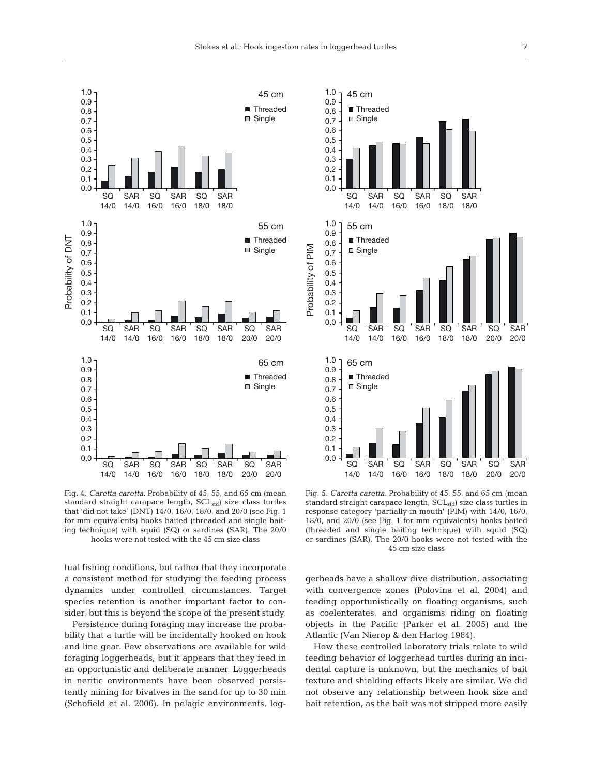

Fig. 4. *Caretta caretta.* Probability of 45, 55, and 65 cm (mean standard straight carapace length,  $\mathrm{SCL}_{\mathrm{std}}$  size class turtles that 'did not take' (DNT) 14/0, 16/0, 18/0, and 20/0 (see Fig. 1 for mm equivalents) hooks baited (threaded and single baiting technique) with squid (SQ) or sardines (SAR). The 20/0 hooks were not tested with the 45 cm size class

tual fishing conditions, but rather that they incorporate a consistent method for studying the feeding process dynamics under controlled circumstances. Target species retention is another important factor to consider, but this is beyond the scope of the present study.

Persistence during foraging may increase the probability that a turtle will be incidentally hooked on hook and line gear. Few observations are available for wild foraging loggerheads, but it appears that they feed in an opportunistic and deliberate manner. Loggerheads in neritic environments have been observed persistently mining for bivalves in the sand for up to 30 min (Schofield et al. 2006). In pelagic environments, log-



Fig. 5. *Caretta caretta.* Probability of 45, 55, and 65 cm (mean standard straight carapace length, SCL<sub>std</sub>) size class turtles in response category 'partially in mouth' (PIM) with 14/0, 16/0, 18/0, and 20/0 (see Fig. 1 for mm equivalents) hooks baited (threaded and single baiting technique) with squid (SQ) or sardines (SAR). The 20/0 hooks were not tested with the 45 cm size class

gerheads have a shallow dive distribution, associating with convergence zones (Polovina et al. 2004) and feeding opportunistically on floating organisms, such as coelenterates, and organisms riding on floating objects in the Pacific (Parker et al. 2005) and the Atlantic (Van Nierop & den Hartog 1984).

How these controlled laboratory trials relate to wild feeding behavior of loggerhead turtles during an incidental capture is unknown, but the mechanics of bait texture and shielding effects likely are similar. We did not observe any relationship between hook size and bait retention, as the bait was not stripped more easily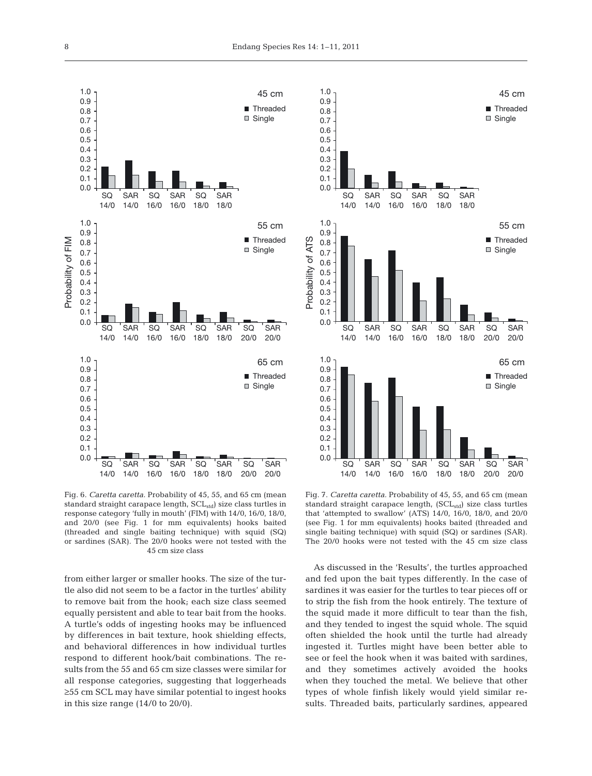

Fig. 6. *Caretta caretta.* Probability of 45, 55, and 65 cm (mean standard straight carapace length, SCL<sub>std</sub>) size class turtles in response category 'fully in mouth' (FIM) with 14/0, 16/0, 18/0, and 20/0 (see Fig. 1 for mm equivalents) hooks baited (threaded and single baiting technique) with squid (SQ) or sardines (SAR). The 20/0 hooks were not tested with the 45 cm size class

from either larger or smaller hooks. The size of the turtle also did not seem to be a factor in the turtles' ability to remove bait from the hook; each size class seemed equally persistent and able to tear bait from the hooks. A turtle's odds of ingesting hooks may be influenced by differences in bait texture, hook shielding effects, and behavioral differences in how individual turtles respond to different hook/bait combinations. The results from the 55 and 65 cm size classes were similar for all response categories, suggesting that loggerheads ≥55 cm SCL may have similar potential to ingest hooks in this size range (14/0 to 20/0).



Fig. 7. *Caretta caretta.* Probability of 45, 55, and 65 cm (mean standard straight carapace length,  $(SCL<sub>std</sub>)$  size class turtles that 'attempted to swallow' (ATS) 14/0, 16/0, 18/0, and 20/0 (see Fig. 1 for mm equivalents) hooks baited (threaded and single baiting technique) with squid (SQ) or sardines (SAR). The 20/0 hooks were not tested with the 45 cm size class

As discussed in the 'Results', the turtles approached and fed upon the bait types differently. In the case of sardines it was easier for the turtles to tear pieces off or to strip the fish from the hook entirely. The texture of the squid made it more difficult to tear than the fish, and they tended to ingest the squid whole. The squid often shielded the hook until the turtle had already ingested it. Turtles might have been better able to see or feel the hook when it was baited with sardines, and they sometimes actively avoided the hooks when they touched the metal. We believe that other types of whole finfish likely would yield similar results. Threaded baits, particularly sardines, appeared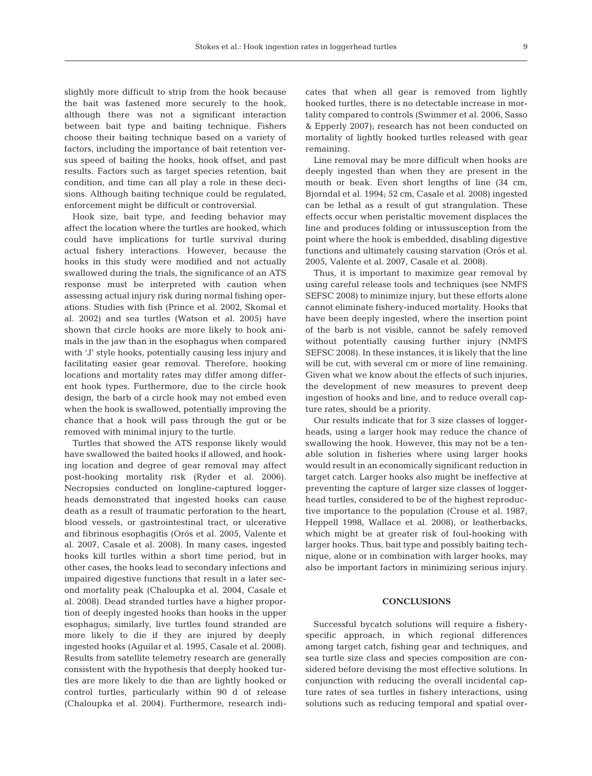slightly more difficult to strip from the hook because the bait was fastened more securely to the hook, although there was not a significant interaction between bait type and baiting technique. Fishers choose their baiting technique based on a variety of factors, including the importance of bait retention versus speed of baiting the hooks, hook offset, and past results. Factors such as target species retention, bait condition, and time can all play a role in these decisions. Although baiting technique could be regulated, enforcement might be difficult or controversial.

Hook size, bait type, and feeding behavior may affect the location where the turtles are hooked, which could have implications for turtle survival during actual fishery interactions. However, because the hooks in this study were modified and not actually swallowed during the trials, the significance of an ATS response must be interpreted with caution when assessing actual injury risk during normal fishing operations. Studies with fish (Prince et al. 2002, Skomal et al. 2002) and sea turtles (Watson et al. 2005) have shown that circle hooks are more likely to hook animals in the jaw than in the esophagus when compared with 'J' style hooks, potentially causing less injury and facilitating easier gear removal. Therefore, hooking locations and mortality rates may differ among different hook types. Furthermore, due to the circle hook design, the barb of a circle hook may not embed even when the hook is swallowed, potentially improving the chance that a hook will pass through the gut or be removed with minimal injury to the turtle.

Turtles that showed the ATS response likely would have swallowed the baited hooks if allowed, and hooking location and degree of gear removal may affect post-hooking mortality risk (Ryder et al. 2006). Necropsies conducted on longline-captured loggerheads demonstrated that ingested hooks can cause death as a result of traumatic perforation to the heart, blood vessels, or gastrointestinal tract, or ulcerative and fibrinous esophagitis (Orós et al. 2005, Valente et al. 2007, Casale et al. 2008). In many cases, ingested hooks kill turtles within a short time period, but in other cases, the hooks lead to secondary infections and impaired digestive functions that result in a later second mortality peak (Chaloupka et al. 2004, Casale et al. 2008). Dead stranded turtles have a higher proportion of deeply ingested hooks than hooks in the upper esophagus; similarly, live turtles found stranded are more likely to die if they are injured by deeply ingested hooks (Aguilar et al. 1995, Casale et al. 2008). Results from satellite telemetry research are generally consistent with the hypothesis that deeply hooked turtles are more likely to die than are lightly hooked or control turtles, particularly within 90 d of release (Chaloupka et al. 2004). Furthermore, research indicates that when all gear is removed from lightly hooked turtles, there is no detectable increase in mortality compared to controls (Swimmer et al. 2006, Sasso & Epperly 2007); research has not been conducted on mortality of lightly hooked turtles released with gear remaining.

Line removal may be more difficult when hooks are deeply ingested than when they are present in the mouth or beak. Even short lengths of line (34 cm, Bjorndal et al. 1994; 52 cm, Casale et al. 2008) ingested can be lethal as a result of gut strangulation. These effects occur when peristaltic movement displaces the line and produces folding or intussusception from the point where the hook is embedded, disabling digestive functions and ultimately causing starvation (Orós et al. 2005, Valente et al. 2007, Casale et al. 2008).

Thus, it is important to maximize gear removal by using careful release tools and techniques (see NMFS SEFSC 2008) to minimize injury, but these efforts alone cannot eliminate fishery-induced mortality. Hooks that have been deeply ingested, where the insertion point of the barb is not visible, cannot be safely removed without potentially causing further injury (NMFS SEFSC 2008). In these instances, it is likely that the line will be cut, with several cm or more of line remaining. Given what we know about the effects of such injuries, the development of new measures to prevent deep ingestion of hooks and line, and to reduce overall capture rates, should be a priority.

Our results indicate that for 3 size classes of loggerheads, using a larger hook may reduce the chance of swallowing the hook. However, this may not be a tenable solution in fisheries where using larger hooks would result in an economically significant reduction in target catch. Larger hooks also might be ineffective at preventing the capture of larger size classes of loggerhead turtles, considered to be of the highest reproductive importance to the population (Crouse et al. 1987, Heppell 1998, Wallace et al. 2008), or leatherbacks, which might be at greater risk of foul-hooking with larger hooks. Thus, bait type and possibly baiting technique, alone or in combination with larger hooks, may also be important factors in minimizing serious injury.

## **CONCLUSIONS**

Successful bycatch solutions will require a fisheryspecific approach, in which regional differences among target catch, fishing gear and techniques, and sea turtle size class and species composition are considered before devising the most effective solutions. In conjunction with reducing the overall incidental capture rates of sea turtles in fishery interactions, using solutions such as reducing temporal and spatial over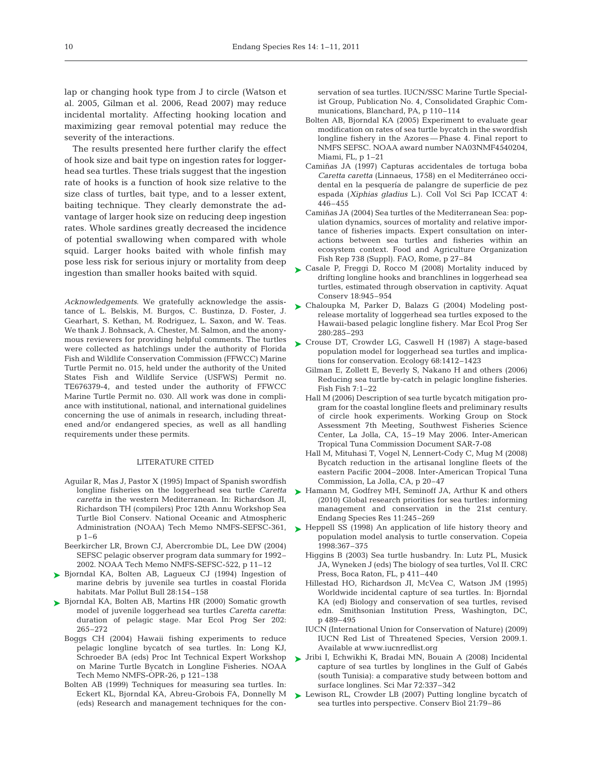lap or changing hook type from J to circle (Watson et al. 2005, Gilman et al. 2006, Read 2007) may reduce incidental mortality. Affecting hooking location and maximizing gear removal potential may reduce the severity of the interactions.

The results presented here further clarify the effect of hook size and bait type on ingestion rates for loggerhead sea turtles. These trials suggest that the ingestion rate of hooks is a function of hook size relative to the size class of turtles, bait type, and to a lesser extent, baiting technique. They clearly demonstrate the advantage of larger hook size on reducing deep ingestion rates. Whole sardines greatly decreased the incidence of potential swallowing when compared with whole squid. Larger hooks baited with whole finfish may pose less risk for serious injury or mortality from deep ingestion than smaller hooks baited with squid.

*Acknowledgements*. We gratefully acknowledge the assistance of L. Belskis, M. Burgos, C. Bustinza, D. Foster, J. Gearhart, S. Kethan, M. Rodriguez, L. Saxon, and W. Teas. We thank J. Bohnsack, A. Chester, M. Salmon, and the anonymous reviewers for providing helpful comments. The turtles were collected as hatchlings under the authority of Florida Fish and Wildlife Conservation Commission (FFWCC) Marine Turtle Permit no. 015, held under the authority of the United States Fish and Wildlife Service (USFWS) Permit no. TE676379-4, and tested under the authority of FFWCC Marine Turtle Permit no. 030. All work was done in compliance with institutional, national, and international guidelines concerning the use of animals in research, including threatened and/or endangered species, as well as all handling requirements under these permits.

#### LITERATURE CITED

- Aguilar R, Mas J, Pastor X (1995) Impact of Spanish swordfish longline fisheries on the loggerhead sea turtle *Caretta caretta* in the western Mediterranean. In: Richardson JI, Richardson TH (compilers) Proc 12th Annu Workshop Sea Turtle Biol Conserv. National Oceanic and Atmospheric p 1–6
- Beerkircher LR, Brown CJ, Abercrombie DL, Lee DW (2004) SEFSC pelagic observer program data summary for 1992– 2002. NOAA Tech Memo NMFS-SEFSC-522, p 11–12
- ▶ Bjorndal KA, Bolten AB, Lagueux CJ (1994) Ingestion of marine debris by juvenile sea turtles in coastal Florida habitats. Mar Pollut Bull 28:154–158
- ► Bjorndal KA, Bolten AB, Martins HR (2000) Somatic growth model of juvenile loggerhead sea turtles *Caretta caretta*: duration of pelagic stage. Mar Ecol Prog Ser 202: 265–272
	- Boggs CH (2004) Hawaii fishing experiments to reduce pelagic longline bycatch of sea turtles. In: Long KJ, Schroeder BA (eds) Proc Int Technical Expert Workshop on Marine Turtle Bycatch in Longline Fisheries. NOAA Tech Memo NMFS-OPR-26, p 121–138
	- Bolten AB (1999) Techniques for measuring sea turtles. In: Eckert KL, Bjorndal KA, Abreu-Grobois FA, Donnelly M (eds) Research and management techniques for the con-

servation of sea turtles. IUCN/SSC Marine Turtle Specialist Group, Publication No. 4, Consolidated Graphic Communications, Blanchard, PA, p 110–114

- Bolten AB, Bjorndal KA (2005) Experiment to evaluate gear modification on rates of sea turtle bycatch in the swordfish longline fishery in the Azores — Phase 4. Final report to NMFS SEFSC. NOAA award number NA03NMF4540204, Miami, FL, p 1–21
- Camiñas JA (1997) Capturas accidentales de tortuga boba *Caretta caretta* (Linnaeus, 1758) en el Mediterráneo occidental en la pesquería de palangre de superficie de pez espada (*Xiphias gladius* L.). Coll Vol Sci Pap ICCAT 4: 446–455
- Camiñas JA (2004) Sea turtles of the Mediterranean Sea: population dynamics, sources of mortality and relative importance of fisheries impacts. Expert consultation on interactions between sea turtles and fisheries within an ecosystem context. Food and Agriculture Organization Fish Rep 738 (Suppl). FAO, Rome, p 27–84
- ► Casale P, Freggi D, Rocco M (2008) Mortality induced by drifting longline hooks and branchlines in loggerhead sea turtles, estimated through observation in captivity. Aquat Conserv 18:945–954
- Chaloupka M, Parker D, Balazs G (2004) Modeling post-➤ release mortality of loggerhead sea turtles exposed to the Hawaii-based pelagic longline fishery. Mar Ecol Prog Ser 280:285–293
- ► Crouse DT, Crowder LG, Caswell H (1987) A stage-based population model for loggerhead sea turtles and implications for conservation. Ecology 68:1412–1423
	- Gilman E, Zollett E, Beverly S, Nakano H and others (2006) Reducing sea turtle by-catch in pelagic longline fisheries. Fish Fish 7:1–22
	- Hall M (2006) Description of sea turtle bycatch mitigation program for the coastal longline fleets and preliminary results of circle hook experiments. Working Group on Stock Assessment 7th Meeting, Southwest Fisheries Science Center, La Jolla, CA, 15–19 May 2006. Inter-American Tropical Tuna Commission Document SAR-7-08
	- Hall M, Mituhasi T, Vogel N, Lennert-Cody C, Mug M (2008) Bycatch reduction in the artisanal longline fleets of the eastern Pacific 2004–2008. Inter-American Tropical Tuna Commission, La Jolla, CA, p 20–47
- ► Hamann M, Godfrey MH, Seminoff JA, Arthur K and others (2010) Global research priorities for sea turtles: informing management and conservation in the 21st century. Endang Species Res 11:245–269
- Administration (NOAA) Tech Memo NMFS-SEFSC-361,  $\rightarrow$  Heppell SS (1998) An application of life history theory and population model analysis to turtle conservation. Copeia 1998:367–375
	- Higgins B (2003) Sea turtle husbandry. In: Lutz PL, Musick JA, Wyneken J (eds) The biology of sea turtles, Vol II. CRC Press, Boca Raton, FL, p 411–440
	- Hillestad HO, Richardson JI, McVea C, Watson JM (1995) Worldwide incidental capture of sea turtles. In: Bjorndal KA (ed) Biology and conservation of sea turtles, revised edn. Smithsonian Institution Press, Washington, DC, p 489–495
	- IUCN (International Union for Conservation of Nature) (2009) IUCN Red List of Threatened Species, Version 2009.1. Available at www.iucnredlist.org
	- Jribi I, Echwikhi K, Bradai MN, Bouain A (2008) Incidental ➤ capture of sea turtles by longlines in the Gulf of Gabés (south Tunisia): a comparative study between bottom and surface longlines. Sci Mar 72:337–342
	- ► Lewison RL, Crowder LB (2007) Putting longline bycatch of sea turtles into perspective. Conserv Biol 21:79–86